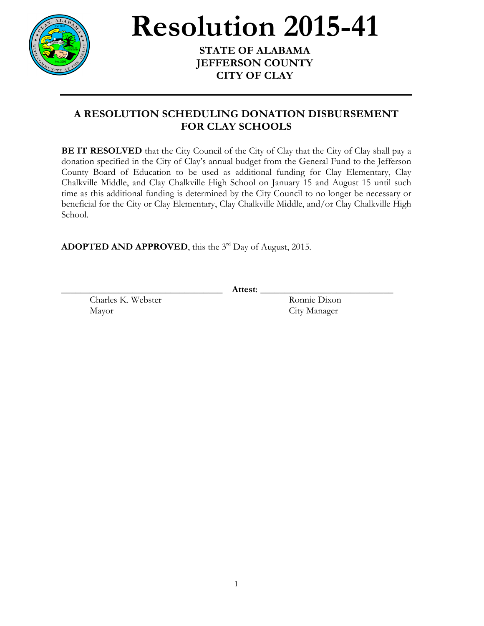

## **Resolution 2015-41**

**STATE OF ALABAMA JEFFERSON COUNTY CITY OF CLAY**

## **A RESOLUTION SCHEDULING DONATION DISBURSEMENT FOR CLAY SCHOOLS**

**BE IT RESOLVED** that the City Council of the City of Clay that the City of Clay shall pay a donation specified in the City of Clay's annual budget from the General Fund to the Jefferson County Board of Education to be used as additional funding for Clay Elementary, Clay Chalkville Middle, and Clay Chalkville High School on January 15 and August 15 until such time as this additional funding is determined by the City Council to no longer be necessary or beneficial for the City or Clay Elementary, Clay Chalkville Middle, and/or Clay Chalkville High School.

**ADOPTED AND APPROVED**, this the 3rd Day of August, 2015.

Charles K. Webster Ronnie Dixon Mayor City Manager

\_\_\_\_\_\_\_\_\_\_\_\_\_\_\_\_\_\_\_\_\_\_\_\_\_\_\_\_\_\_\_\_\_\_ **Attest**: \_\_\_\_\_\_\_\_\_\_\_\_\_\_\_\_\_\_\_\_\_\_\_\_\_\_\_\_